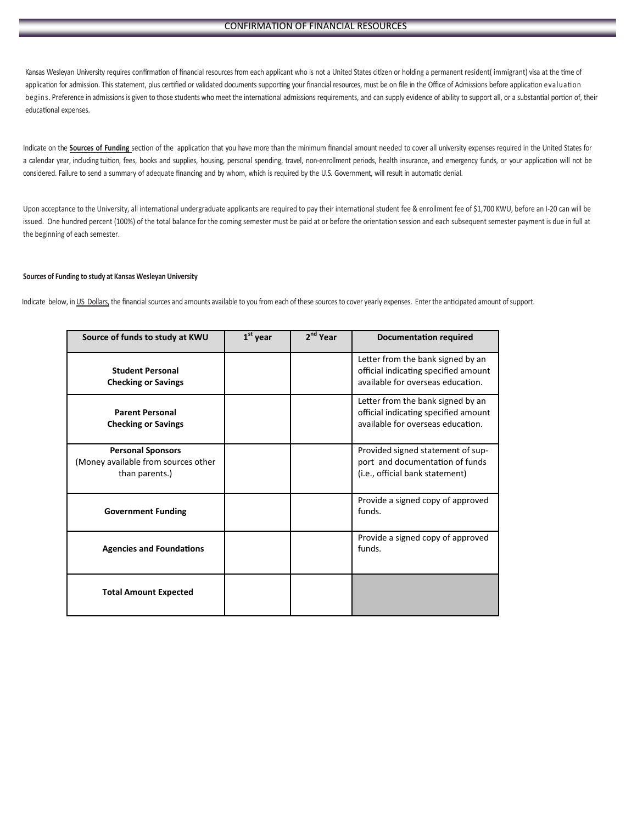## CONFIRMATION OF FINANCIAL RESOURCES

Kansas Wesleyan University requires confirmation of financial resources from each applicant who is not a United States citizen or holding a permanent resident( immigrant) visa at the time of application for admission. This statement, plus certified or validated documents supporting your financial resources, must be on file in the Office of Admissions before application evaluation begins. Preference in admissions is given to those students who meet the international admissions requirements, and can supply evidence of ability to support all, or a substantial portion of, their educational expenses.

Indicate on the **Sources of Funding** section of the application that you have more than the minimum financial amount needed to cover all university expenses required in the United States for a calendar year, including tuition, fees, books and supplies, housing, personal spending, travel, non-enrollment periods, health insurance, and emergency funds, or your application will not be considered. Failure to send a summary of adequate financing and by whom, which is required by the U.S. Government, will result in automatic denial.

Upon acceptance to the University, all international undergraduate applicants are required to pay their international student fee & enrollment fee of \$1,700 KWU, before an I-20 can will be issued. One hundred percent (100%) of the total balance for the coming semester must be paid at or before the orientation session and each subsequent semester payment is due in full at the beginning of each semester.

## **Sources of Funding to study at Kansas Wesleyan University**

Indicate below, in US Dollars, the financial sources and amounts available to you from each of these sources to cover yearly expenses. Enter the anticipated amount of support.

| Source of funds to study at KWU                                                   | $1st$ year | 2 <sup>nd</sup> Year | Documentation required                                                                                         |
|-----------------------------------------------------------------------------------|------------|----------------------|----------------------------------------------------------------------------------------------------------------|
| <b>Student Personal</b><br><b>Checking or Savings</b>                             |            |                      | Letter from the bank signed by an<br>official indicating specified amount<br>available for overseas education. |
| <b>Parent Personal</b><br><b>Checking or Savings</b>                              |            |                      | Letter from the bank signed by an<br>official indicating specified amount<br>available for overseas education. |
| <b>Personal Sponsors</b><br>(Money available from sources other<br>than parents.) |            |                      | Provided signed statement of sup-<br>port and documentation of funds<br>(i.e., official bank statement)        |
| <b>Government Funding</b>                                                         |            |                      | Provide a signed copy of approved<br>funds.                                                                    |
| <b>Agencies and Foundations</b>                                                   |            |                      | Provide a signed copy of approved<br>funds.                                                                    |
| <b>Total Amount Expected</b>                                                      |            |                      |                                                                                                                |